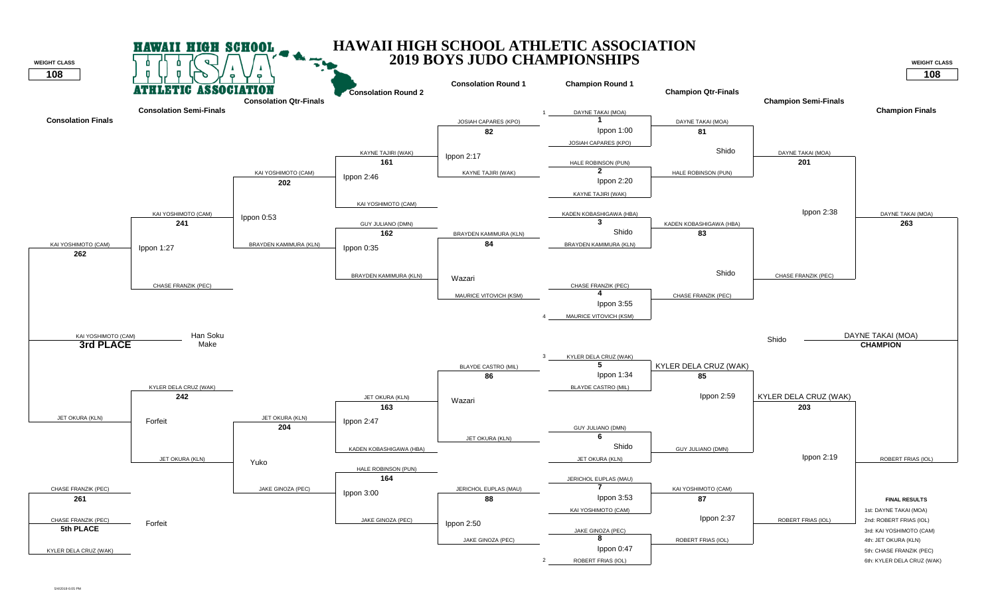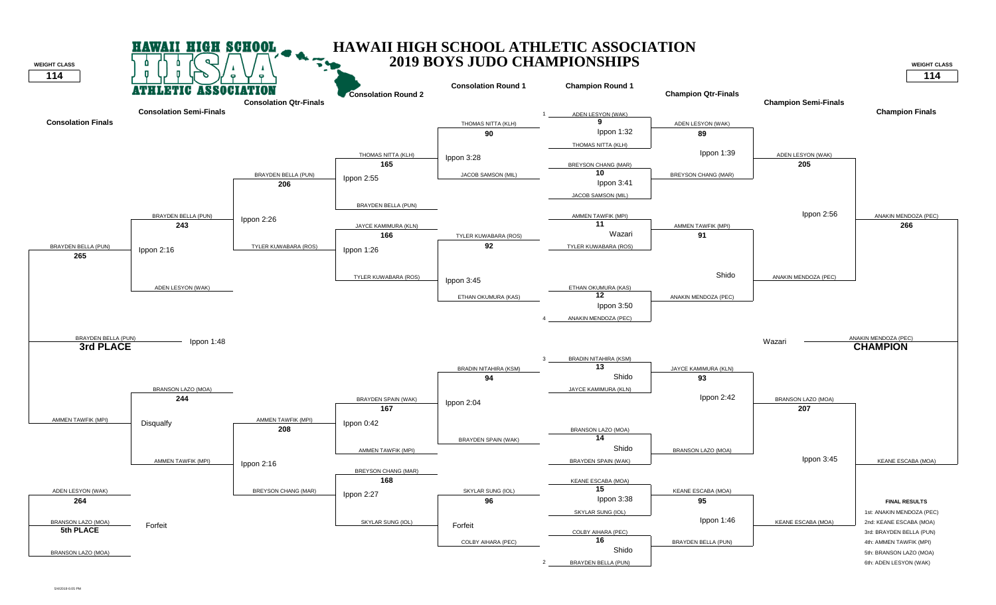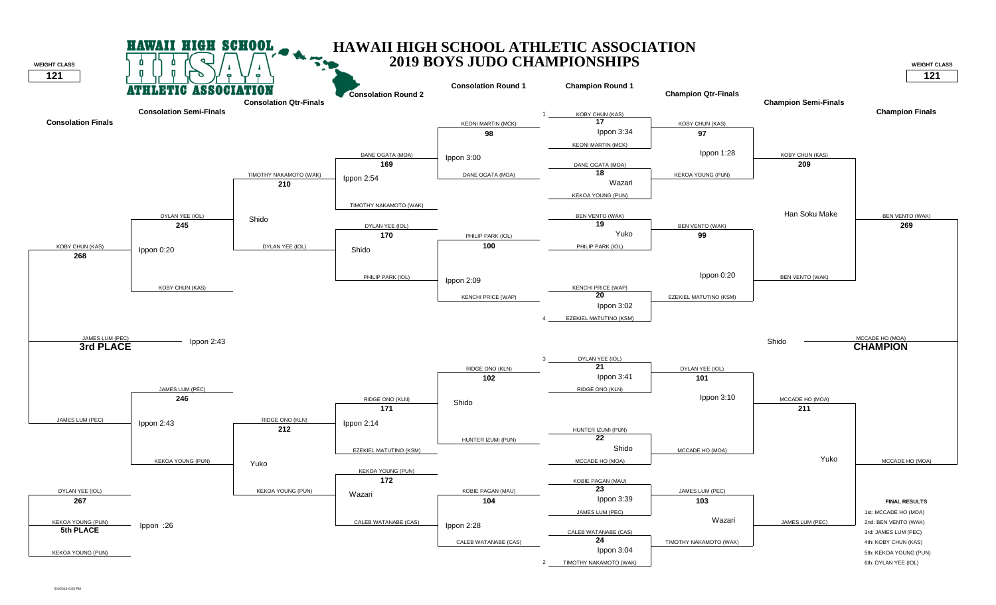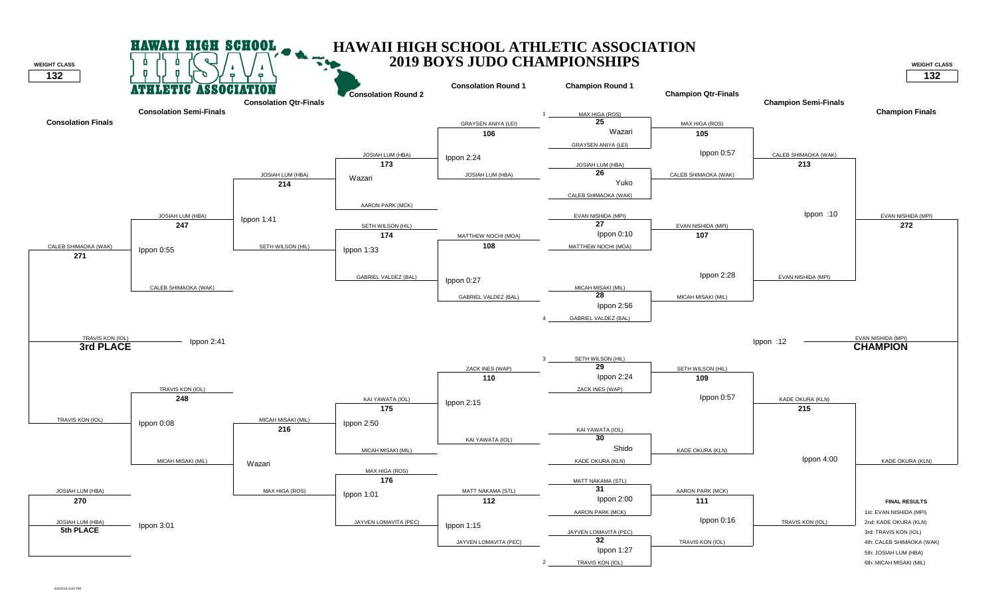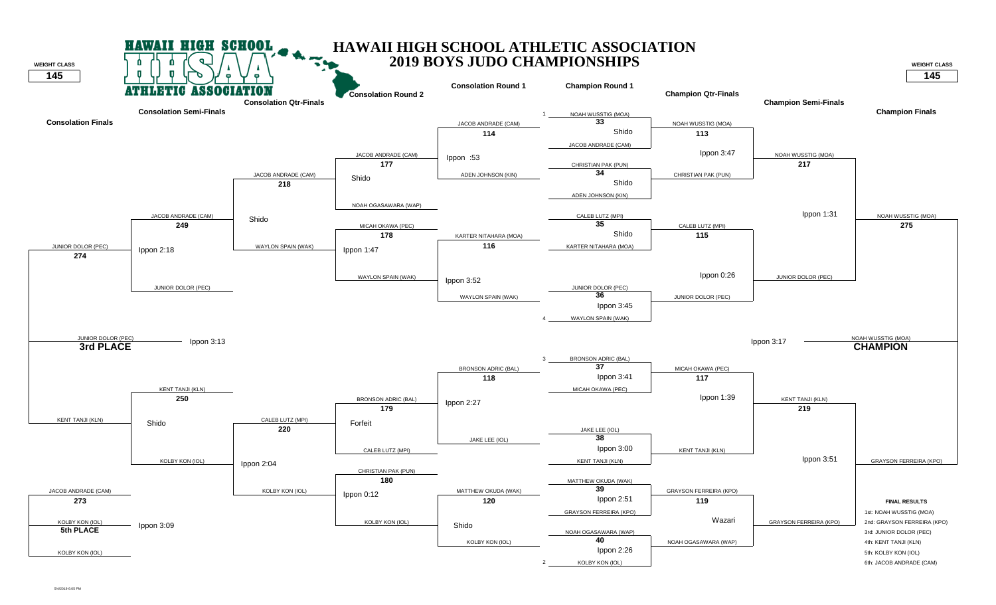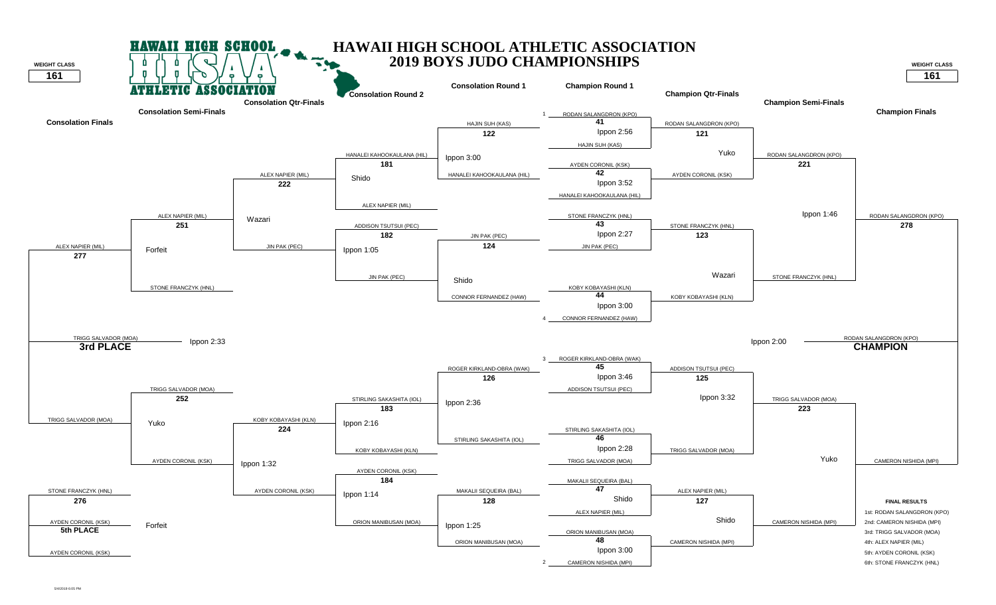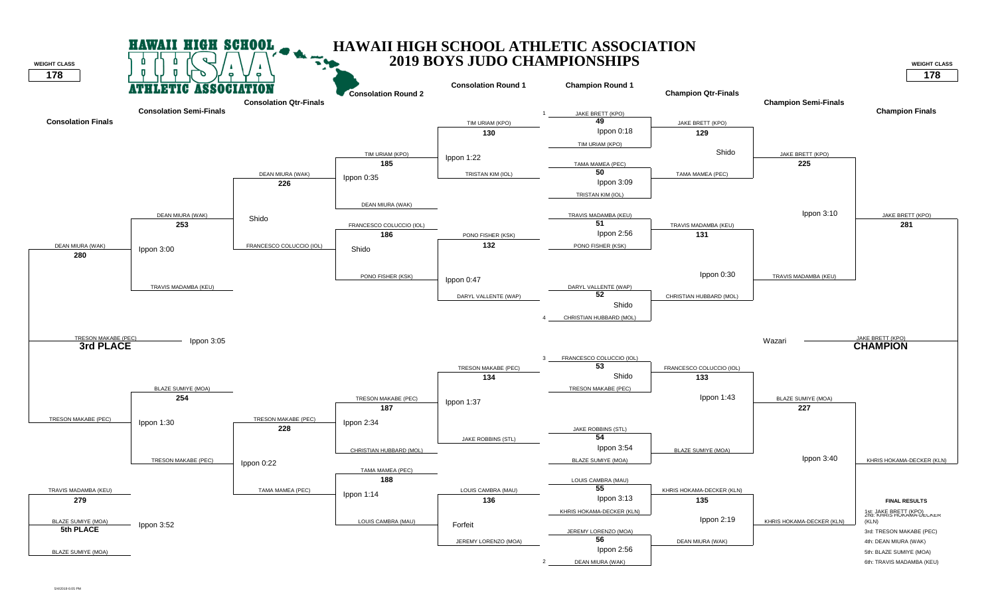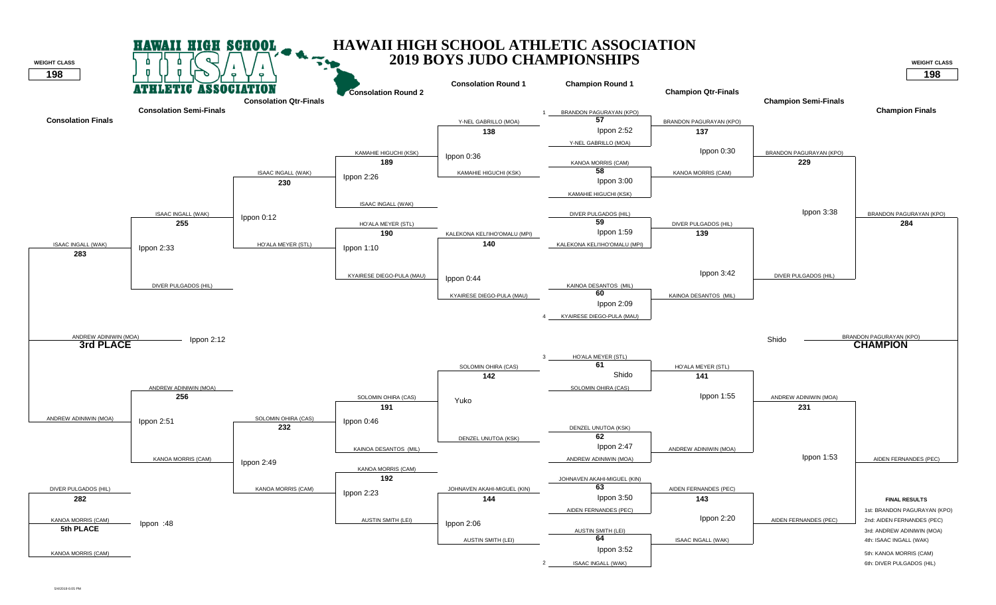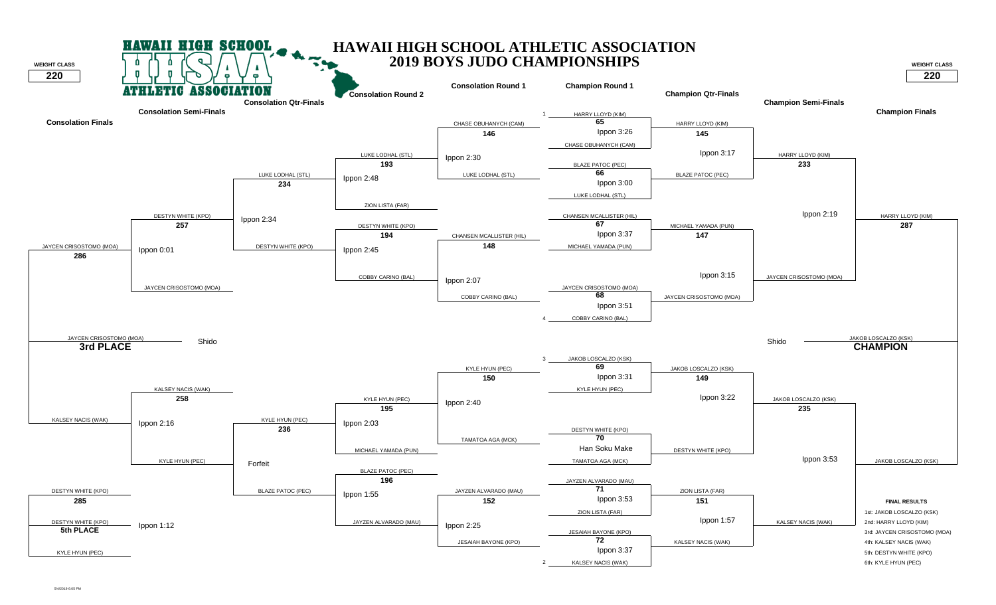